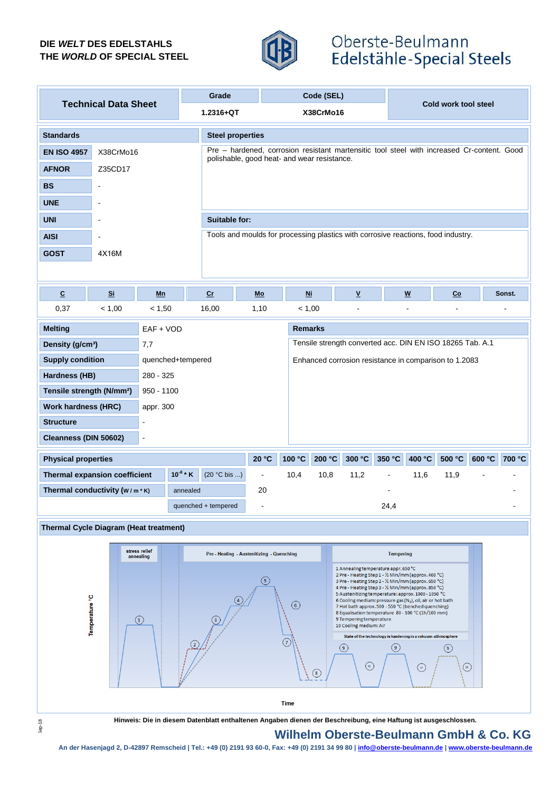## **DIE** *WELT* **DES EDELSTAHLS THE** *WORLD* **OF SPECIAL STEEL**



## Oberste-Beulmann Edelstähle-Special Steels

| <b>Technical Data Sheet</b>                    |           |        |                                                                            | Grade                                                                                                                                     | Code (SEL)          |           |        |                          | Cold work tool steel |                           |        |        |        |
|------------------------------------------------|-----------|--------|----------------------------------------------------------------------------|-------------------------------------------------------------------------------------------------------------------------------------------|---------------------|-----------|--------|--------------------------|----------------------|---------------------------|--------|--------|--------|
|                                                |           |        |                                                                            | $1.2316 + QT$                                                                                                                             |                     | X38CrMo16 |        |                          |                      |                           |        |        |        |
| <b>Standards</b>                               |           |        |                                                                            | <b>Steel properties</b>                                                                                                                   |                     |           |        |                          |                      |                           |        |        |        |
| <b>EN ISO 4957</b>                             | X38CrMo16 |        |                                                                            | Pre - hardened, corrosion resistant martensitic tool steel with increased Cr-content. Good<br>polishable, good heat- and wear resistance. |                     |           |        |                          |                      |                           |        |        |        |
| <b>AFNOR</b>                                   | Z35CD17   |        |                                                                            |                                                                                                                                           |                     |           |        |                          |                      |                           |        |        |        |
| <b>BS</b>                                      |           |        |                                                                            |                                                                                                                                           |                     |           |        |                          |                      |                           |        |        |        |
| <b>UNE</b>                                     |           |        |                                                                            |                                                                                                                                           |                     |           |        |                          |                      |                           |        |        |        |
| <b>UNI</b>                                     |           |        |                                                                            | Suitable for:                                                                                                                             |                     |           |        |                          |                      |                           |        |        |        |
| <b>AISI</b>                                    | ÷.        |        |                                                                            | Tools and moulds for processing plastics with corrosive reactions, food industry.                                                         |                     |           |        |                          |                      |                           |        |        |        |
| <b>GOST</b>                                    | 4X16M     |        |                                                                            |                                                                                                                                           |                     |           |        |                          |                      |                           |        |        |        |
|                                                |           |        |                                                                            |                                                                                                                                           |                     |           |        |                          |                      |                           |        |        |        |
| $\underline{\mathbf{C}}$                       | <u>Si</u> | Mn     |                                                                            | cr                                                                                                                                        | Mo                  | $Ni$      |        | $\underline{\mathbf{v}}$ |                      | $\boldsymbol{\mathsf{W}}$ | $Co$   |        | Sonst. |
| 0,37                                           | < 1,00    | < 1,50 |                                                                            | 16,00                                                                                                                                     | 1,10                | < 1,00    |        |                          |                      |                           |        |        |        |
| <b>Melting</b><br>$EAF + VOD$                  |           |        | <b>Remarks</b>                                                             |                                                                                                                                           |                     |           |        |                          |                      |                           |        |        |        |
| Density (g/cm <sup>3</sup> )<br>7,7            |           |        |                                                                            | Tensile strength converted acc. DIN EN ISO 18265 Tab. A.1                                                                                 |                     |           |        |                          |                      |                           |        |        |        |
| <b>Supply condition</b>                        |           |        | quenched+tempered<br>Enhanced corrosion resistance in comparison to 1.2083 |                                                                                                                                           |                     |           |        |                          |                      |                           |        |        |        |
| Hardness (HB)                                  |           |        | 280 - 325                                                                  |                                                                                                                                           |                     |           |        |                          |                      |                           |        |        |        |
| Tensile strength (N/mm <sup>2</sup> )          |           |        | $950 - 1100$                                                               |                                                                                                                                           |                     |           |        |                          |                      |                           |        |        |        |
| <b>Work hardness (HRC)</b><br>appr. 300        |           |        |                                                                            |                                                                                                                                           |                     |           |        |                          |                      |                           |        |        |        |
| <b>Structure</b><br>L,                         |           |        |                                                                            |                                                                                                                                           |                     |           |        |                          |                      |                           |        |        |        |
| Cleanness (DIN 50602)                          |           | ÷,     |                                                                            |                                                                                                                                           |                     |           |        |                          |                      |                           |        |        |        |
| <b>Physical properties</b>                     |           |        |                                                                            |                                                                                                                                           | 20 °C               | 100 °C    | 200 °C | 300 °C                   | 350 °C               | 400 °C                    | 500 °C | 600 °C | 700 °C |
| $10^{-6}$ * K<br>Thermal expansion coefficient |           |        |                                                                            | (20 °C bis )                                                                                                                              | $\bar{\phantom{a}}$ | 10,4      | 10,8   | 11,2                     |                      | 11,6                      | 11,9   |        |        |
| Thermal conductivity $(w/m * K)$<br>annealed   |           |        |                                                                            | 20                                                                                                                                        |                     |           |        |                          |                      |                           |        |        |        |
|                                                |           |        |                                                                            | quenched + tempered                                                                                                                       | $\overline{a}$      |           |        |                          | 24,4                 |                           |        |        |        |
| Thermal Cycle Diagram (Heat treatment)         |           |        |                                                                            |                                                                                                                                           |                     |           |        |                          |                      |                           |        |        |        |



Sep-18

**Hinweis: Die in diesem Datenblatt enthaltenen Angaben dienen der Beschreibung, eine Haftung ist ausgeschlossen.**

## **Wilhelm Oberste-Beulmann GmbH & Co. KG**

**An der Hasenjagd 2, D-42897 Remscheid | Tel.: +49 (0) 2191 93 60-0, Fax: +49 (0) 2191 34 99 80 | info@oberste-beulmann.de | www.oberste-beulmann.de**